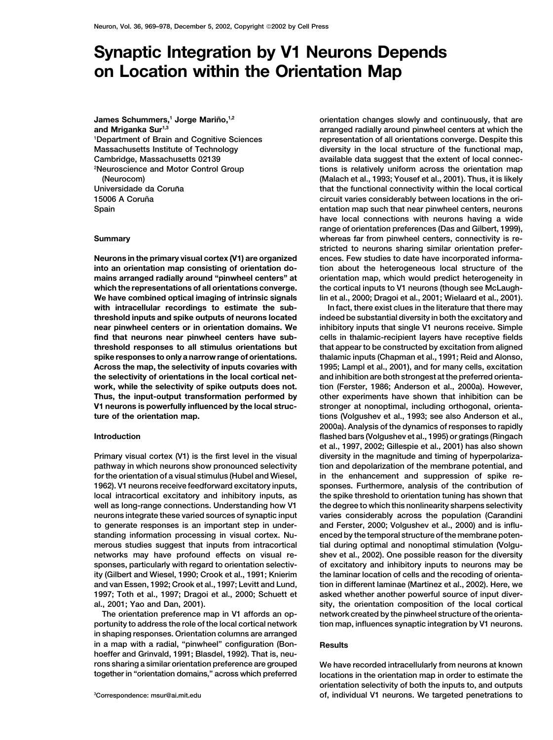# **Synaptic Integration by V1 Neurons Depends on Location within the Orientation Map**

**James Schummers,<sup>1</sup> Jorge Mariño,<sup>1,2</sup> and Mriganka Sur1,3 1 Department of Brain and Cognitive Sciences** <sup>2</sup>Neuroscience and Motor Control Group

**Neurons in the primary visual cortex (V1) are organized ences. Few studies to date have incorporated informainto an orientation map consisting of orientation do- tion about the heterogeneous local structure of the mains arranged radially around "pinwheel centers" at orientation map, which would predict heterogeneity in which the representations of all orientations converge. the cortical inputs to V1 neurons (though see McLaugh-We have combined optical imaging of intrinsic signals lin et al., 2000; Dragoi et al., 2001; Wielaard et al., 2001).**

**pathway in which neurons show pronounced selectivity tion and depolarization of the membrane potential, and for the orientation of a visual stimulus (Hubel and Wiesel, in the enhancement and suppression of spike re-1962). V1 neurons receive feedforward excitatory inputs, sponses. Furthermore, analysis of the contribution of local intracortical excitatory and inhibitory inputs, as the spike threshold to orientation tuning has shown that** well as long-range connections. Understanding how V1 the degree to which this nonlinearity sharpens selectivity **neurons integrate these varied sources of synaptic input varies considerably across the population (Carandini to generate responses is an important step in under- and Ferster, 2000; Volgushev et al., 2000) and is influstanding information processing in visual cortex. Nu- enced by the temporal structure of the membrane potenmerous studies suggest that inputs from intracortical tial during optimal and nonoptimal stimulation (Volgunetworks may have profound effects on visual re- shev et al., 2002). One possible reason for the diversity sponses, particularly with regard to orientation selectiv- of excitatory and inhibitory inputs to neurons may be ity (Gilbert and Wiesel, 1990; Crook et al., 1991; Knierim the laminar location of cells and the recoding of orientaand van Essen, 1992; Crook et al., 1997; Levitt and Lund, tion in different laminae (Martinez et al., 2002). Here, we 1997; Toth et al., 1997; Dragoi et al., 2000; Schuett et asked whether another powerful source of input diveral., 2001; Yao and Dan, 2001). sity, the orientation composition of the local cortical**

**in shaping responses. Orientation columns are arranged in a map with a radial, "pinwheel" configuration (Bon- Results hoeffer and Grinvald, 1991; Blasdel, 1992). That is, neurons sharing a similar orientation preference are grouped We have recorded intracellularly from neurons at known**

<sup>3</sup>Correspondence: msur@ai.mit.edu

**orientation changes slowly and continuously, that are arranged radially around pinwheel centers at which the representation of all orientations converge. Despite this** Massachusetts Institute of Technology **diversity in the local structure of the functional map, Cambridge, Massachusetts 02139 available data suggest that the extent of local connec** tions is relatively uniform across the orientation map **(Neurocom) (Malach et al., 1993; Yousef et al., 2001). Thus, it is likely** Universidade da Coruña **a that is a that the functional connectivity within the local cortical 15006 A Coruña abula 15006 A Coruña a a circuit varies considerably between locations in the ori-Spain entation map such that near pinwheel centers, neurons have local connections with neurons having a wide range of orientation preferences (Das and Gilbert, 1999), Summary whereas far from pinwheel centers, connectivity is restricted to neurons sharing similar orientation prefer-**

**with intracellular recordings to estimate the sub- In fact, there exist clues in the literature that there may threshold inputs and spike outputs of neurons located indeed be substantial diversity in both the excitatory and near pinwheel centers or in orientation domains. We inhibitory inputs that single V1 neurons receive. Simple find that neurons near pinwheel centers have sub- cells in thalamic-recipient layers have receptive fields threshold responses to all stimulus orientations but that appear to be constructed by excitation from aligned spike responses to only a narrow range of orientations. thalamic inputs (Chapman et al., 1991; Reid and Alonso, Across the map, the selectivity of inputs covaries with 1995; Lampl et al., 2001), and for many cells, excitation the selectivity of orientations in the local cortical net- and inhibition are both strongest at the preferred orientawork, while the selectivity of spike outputs does not. tion (Ferster, 1986; Anderson et al., 2000a). However, Thus, the input-output transformation performed by other experiments have shown that inhibition can be V1 neurons is powerfully influenced by the local struc- stronger at nonoptimal, including orthogonal, orientature of the orientation map. tions (Volgushev et al., 1993; see also Anderson et al., 2000a). Analysis of the dynamics of responses to rapidly Introduction flashed bars (Volgushev et al., 1995) or gratings (Ringach et al., 1997, 2002; Gillespie et al., 2001) has also shown Primary visual cortex (V1) is the first level in the visual diversity in the magnitude and timing of hyperpolariza-The orientation preference map in V1 affords an op- network created by the pinwheel structure of the orientaportunity to address the role of the local cortical network tion map, influences synaptic integration by V1 neurons.**

**together in "orientation domains," across which preferred locations in the orientation map in order to estimate the orientation selectivity of both the inputs to, and outputs Correspondence: msur@ai.mit.edu of, individual V1 neurons. We targeted penetrations to**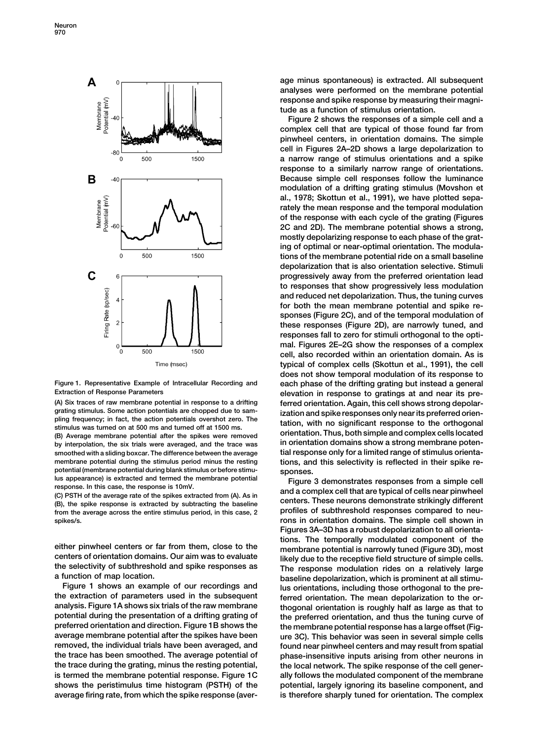

from the average across the entire stimulus period, in this case, 2 **spikes/s. rons in orientation domains. The simple cell shown in**

**Figure 1 shows an example of our recordings and lus orientations, including those orthogonal to the preanalysis. Figure 1A shows six trials of the raw membrane thogonal orientation is roughly half as large as that to potential during the presentation of a drifting grating of the preferred orientation, and thus the tuning curve of average membrane potential after the spikes have been ure 3C). This behavior was seen in several simple cells removed, the individual trials have been averaged, and found near pinwheel centers and may result from spatial the trace has been smoothed. The average potential of phase-insensitive inputs arising from other neurons in the trace during the grating, minus the resting potential, the local network. The spike response of the cell generis termed the membrane potential response. Figure 1C ally follows the modulated component of the membrane shows the peristimulus time histogram (PSTH) of the potential, largely ignoring its baseline component, and average firing rate, from which the spike response (aver- is therefore sharply tuned for orientation. The complex**

**age minus spontaneous) is extracted. All subsequent analyses were performed on the membrane potential response and spike response by measuring their magnitude as a function of stimulus orientation.**

**Figure 2 shows the responses of a simple cell and a complex cell that are typical of those found far from pinwheel centers, in orientation domains. The simple cell in Figures 2A–2D shows a large depolarization to a narrow range of stimulus orientations and a spike response to a similarly narrow range of orientations. Because simple cell responses follow the luminance modulation of a drifting grating stimulus (Movshon et al., 1978; Skottun et al., 1991), we have plotted separately the mean response and the temporal modulation of the response with each cycle of the grating (Figures 2C and 2D). The membrane potential shows a strong, mostly depolarizing response to each phase of the grating of optimal or near-optimal orientation. The modulations of the membrane potential ride on a small baseline depolarization that is also orientation selective. Stimuli progressively away from the preferred orientation lead to responses that show progressively less modulation and reduced net depolarization. Thus, the tuning curves for both the mean membrane potential and spike responses (Figure 2C), and of the temporal modulation of these responses (Figure 2D), are narrowly tuned, and responses fall to zero for stimuli orthogonal to the optimal. Figures 2E–2G show the responses of a complex cell, also recorded within an orientation domain. As is typical of complex cells (Skottun et al., 1991), the cell does not show temporal modulation of its response to Figure 1. Representative Example of Intracellular Recording and each phase of the drifting grating but instead a general Extraction of Response Parameters elevation in response to gratings at and near its pre- (A) Six traces of raw membrane potential in response to a drifting ferred orientation. Again, this cell shows strong depolar**grating stimulus. Some action potentials are chopped due to sam-<br>pling frequency; in fact, the action potentials overshot zero. The<br>stimulus was turned on at 500 ms and turned off at 1500 ms.<br>(B) Average membrane potential **by interpolation, the six trials were averaged, and the trace was in orientation domains show a strong membrane potensmoothed with a sliding boxcar. The difference between the average tial response only for a limited range of stimulus orienta**membrane potential during the stimulus period minus the resting<br>
potential (membrane potential during blank stimulus or before stimu-<br> **Sponses.** 

potential (membrane potential during blank stimulus or before stimu-<br>
Ius appearance) is extracted and termed the membrane potential<br>
responses. In this case, the response is 10mV.<br>
(C) PSTH of the average rate of the spik **Figures 3A–3D has a robust depolarization to all orienta**either pinwheel centers or far from them, close to the<br>centers of orientation domains. Our aim was to evaluate<br>the selectivity of subthreshold and spike responses as<br>a function of map location.<br>a function of map location. -baseline depolarization, which is prominent at all stimu-<br>Figure 1 shows an example of our recordings and lus orientations, including those orthogonal to the preferred orientation. The mean depolarization to the orthe membrane potential response has a large offset (Fig-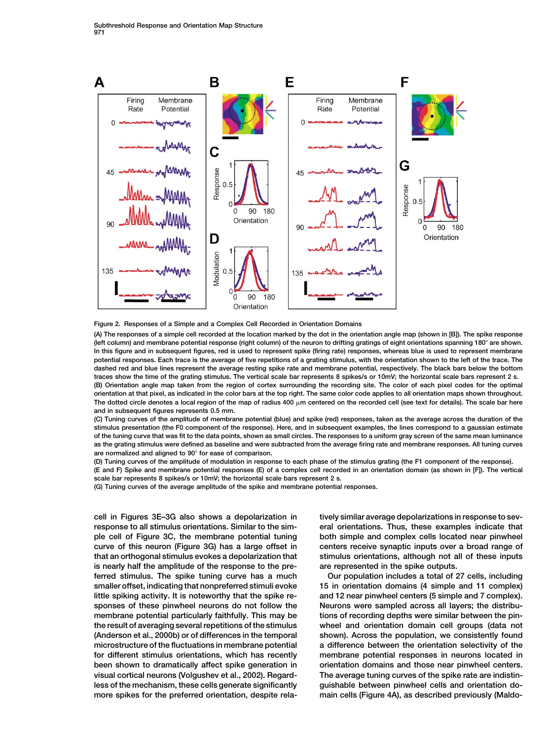

**Figure 2. Responses of a Simple and a Complex Cell Recorded in Orientation Domains**

**(A) The responses of a simple cell recorded at the location marked by the dot in the orientation angle map (shown in [B]). The spike response (left column) and membrane potential response (right column) of the neuron to drifting gratings of eight orientations spanning 180 are shown. In this figure and in subsequent figures, red is used to represent spike (firing rate) responses, whereas blue is used to represent membrane potential responses. Each trace is the average of five repetitions of a grating stimulus, with the orientation shown to the left of the trace. The dashed red and blue lines represent the average resting spike rate and membrane potential, respectively. The black bars below the bottom traces show the time of the grating stimulus. The vertical scale bar represents 8 spikes/s or 10mV; the horizontal scale bars represent 2 s. (B) Orientation angle map taken from the region of cortex surrounding the recording site. The color of each pixel codes for the optimal orientation at that pixel, as indicated in the color bars at the top right. The same color code applies to all orientation maps shown throughout.** The dotted circle denotes a local region of the map of radius 400 µm centered on the recorded cell (see text for details). The scale bar here **and in subsequent figures represents 0.5 mm.**

**(C) Tuning curves of the amplitude of membrane potential (blue) and spike (red) responses, taken as the average across the duration of the stimulus presentation (the F0 component of the response). Here, and in subsequent examples, the lines correspond to a gaussian estimate of the tuning curve that was fit to the data points, shown as small circles. The responses to a uniform gray screen of the same mean luminance as the grating stimulus were defined as baseline and were subtracted from the average firing rate and membrane responses. All tuning curves are normalized and aligned to 90 for ease of comparison.**

**(D) Tuning curves of the amplitude of modulation in response to each phase of the stimulus grating (the F1 component of the response). (E and F) Spike and membrane potential responses (E) of a complex cell recorded in an orientation domain (as shown in [F]). The vertical scale bar represents 8 spikes/s or 10mV; the horizontal scale bars represent 2 s.**

**(G) Tuning curves of the average amplitude of the spike and membrane potential responses.**

**cell in Figures 3E–3G also shows a depolarization in tively similar average depolarizations in response to sevple cell of Figure 3C, the membrane potential tuning both simple and complex cells located near pinwheel curve of this neuron (Figure 3G) has a large offset in centers receive synaptic inputs over a broad range of that an orthogonal stimulus evokes a depolarization that stimulus orientations, although not all of these inputs is nearly half the amplitude of the response to the pre- are represented in the spike outputs.** ferred stimulus. The spike tuning curve has a much **Our population includes a total of 27 cells**, including **smaller offset, indicating that nonpreferred stimuli evoke 15 in orientation domains (4 simple and 11 complex) little spiking activity. It is noteworthy that the spike re- and 12 near pinwheel centers (5 simple and 7 complex). sponses of these pinwheel neurons do not follow the Neurons were sampled across all layers; the distribumembrane potential particularly faithfully. This may be tions of recording depths were similar between the pinthe result of averaging several repetitions of the stimulus wheel and orientation domain cell groups (data not (Anderson et al., 2000b) or of differences in the temporal shown). Across the population, we consistently found microstructure of the fluctuations in membrane potential a difference between the orientation selectivity of the for different stimulus orientations, which has recently membrane potential responses in neurons located in been shown to dramatically affect spike generation in orientation domains and those near pinwheel centers. visual cortical neurons (Volgushev et al., 2002). Regard- The average tuning curves of the spike rate are indistinless of the mechanism, these cells generate significantly guishable between pinwheel cells and orientation do-**

**response to all stimulus orientations. Similar to the sim- eral orientations. Thus, these examples indicate that**

**more spikes for the preferred orientation, despite rela- main cells (Figure 4A), as described previously (Maldo-**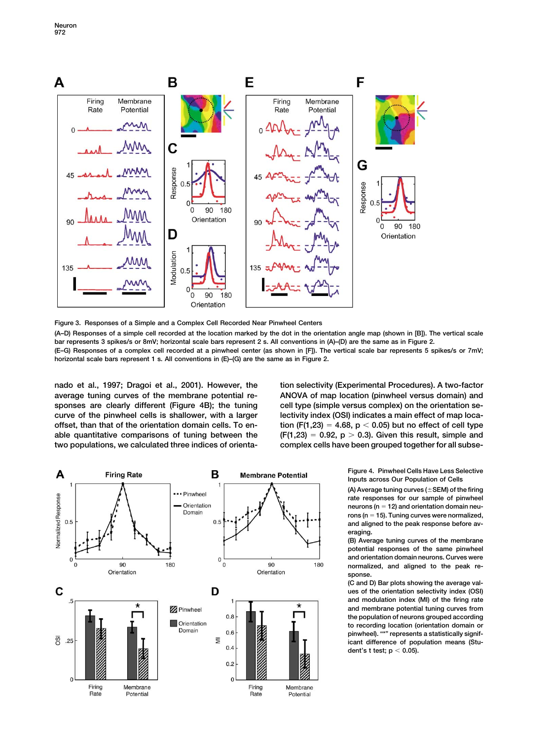

**Figure 3. Responses of a Simple and a Complex Cell Recorded Near Pinwheel Centers**

**(A–D) Responses of a simple cell recorded at the location marked by the dot in the orientation angle map (shown in [B]). The vertical scale bar represents 3 spikes/s or 8mV; horizontal scale bars represent 2 s. All conventions in (A)–(D) are the same as in Figure 2. (E–G) Responses of a complex cell recorded at a pinwheel center (as shown in [F]). The vertical scale bar represents 5 spikes/s or 7mV; horizontal scale bars represent 1 s. All conventions in (E)–(G) are the same as in Figure 2.**

**nado et al., 1997; Dragoi et al., 2001). However, the tion selectivity (Experimental Procedures). A two-factor average tuning curves of the membrane potential re- ANOVA of map location (pinwheel versus domain) and sponses are clearly different (Figure 4B); the tuning cell type (simple versus complex) on the orientation securve of the pinwheel cells is shallower, with a larger lectivity index (OSI) indicates a main effect of map locaoffset, than that of the orientation domain cells. To en- tion (F(1,23) 4.68, p 0.05) but no effect of cell type** able quantitative comparisons of tuning between the  $(F(1,23) = 0.92, p > 0.3)$ . Given this result, simple and **two populations, we calculated three indices of orienta- complex cells have been grouped together for all subse-**



**(A) Average tuning curves (SEM) of the firing rate responses for our sample of pinwheel neurons (n 12) and orientation domain neurons (n 15). Tuning curves were normalized, and aligned to the peak response before averaging.**

**(B) Average tuning curves of the membrane potential responses of the same pinwheel and orientation domain neurons. Curves were normalized, and aligned to the peak response.**

**(C and D) Bar plots showing the average values of the orientation selectivity index (OSI) and modulation index (MI) of the firing rate and membrane potential tuning curves from the population of neurons grouped according to recording location (orientation domain or pinwheel). "\*" represents a statistically significant difference of population means (Student's t test; p 0.05).**

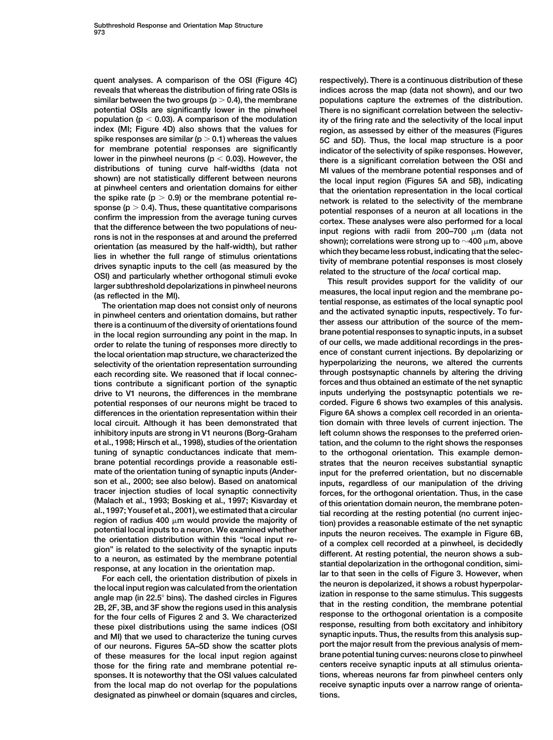**quent analyses. A comparison of the OSI (Figure 4C) respectively). There is a continuous distribution of these reveals that whereas the distribution of firing rate OSIs is indices across the map (data not shown), and our two similar between the two groups (p 0.4), the membrane populations capture the extremes of the distribution. potential OSIs are significantly lower in the pinwheel There is no significant correlation between the selectivpopulation (p 0.03). A comparison of the modulation ity of the firing rate and the selectivity of the local input index (MI; Figure 4D) also shows that the values for region, as assessed by either of the measures (Figures spike responses are similar (p 0.1) whereas the values 5C and 5D). Thus, the local map structure is a poor for membrane potential responses are significantly indicator of the selectivity of spike responses. However, lower in the pinwheel neurons (p < 0.03). However, the there is a significant correlation between the OSI and distributions of tuning curve half-widths (data not <b>MI** values of the membrane potential responses and of **distributions of tuning curve half-widths (data not MI values of the membrane potential responses and of** shown) are not statistically different between neurons<br>at pinwheel centers and orientation domains for either<br>the spike rate ( $p > 0.9$ ) or the membrane potential re-<br>sponse ( $p > 0.4$ ). Thus, these quantitative comparisons that the difference between the two populations of neu-<br>rons is not in the responses at and around the preferred<br>orientation (as measured by the half-width), but rather<br>the shown); correlations were strong up to  $\sim$ 400

order to relate the tuning of responses more directly to oriental we made additional recordings in the pres-<br>the local orientation map structure, we characterized the ence of constant current injections. By depolarizing or **selectivity of the orientation representation surrounding hyperpolarizing the neurons, we altered the currents each recording site. We reasoned that if local connec- through postsynaptic channels by altering the driving tions contribute a significant portion of the synaptic forces and thus obtained an estimate of the net synaptic drive to V1 neurons, the differences in the membrane inputs underlying the postsynaptic potentials we repotential responses of our neurons might be traced to corded. Figure 6 shows two examples of this analysis. differences in the orientation representation within their Figure 6A shows a complex cell recorded in an orientalocal circuit. Although it has been demonstrated that tion domain with three levels of current injection. The inhibitory inputs are strong in V1 neurons (Borg-Graham left column shows the responses to the preferred orienet al., 1998; Hirsch et al., 1998), studies of the orientation tation, and the column to the right shows the responses tuning of synaptic conductances indicate that mem- to the orthogonal orientation. This example demonbrane potential recordings provide a reasonable esti- strates that the neuron receives substantial synaptic mate of the orientation tuning of synaptic inputs (Ander- input for the preferred orientation, but no discernable son et al., 2000; see also below). Based on anatomical inputs, regardless of our manipulation of the driving tracer injection studies of local synaptic connectivity forces, for the orthogonal orientation. Thus, in the case** (Malach et al., 1993; Bosking et al., 1997; Kisvarday et diffusion for this orientation domain neuron, the membrane potential, 1997; Yousef et al., 2001), we estimated that a circular region of radius 400  $\mu$ m would prov

**synaptic inputs. Thus, the results from this analysis sup- and MI) that we used to characterize the tuning curves of our neurons. Figures 5A–5D show the scatter plots port the major result from the previous analysis of memof these measures for the local input region against brane potential tuning curves: neurons close to pinwheel those for the firing rate and membrane potential re- centers receive synaptic inputs at all stimulus orientasponses. It is noteworthy that the OSI values calculated tions, whereas neurons far from pinwheel centers only from the local map do not overlap for the populations receive synaptic inputs over a narrow range of orientadesignated as pinwheel or domain (squares and circles, tions.**

From the responses at and about the presence of the presence of the presence of the presence of the presence of the presence of the presence of the cell (as measured by the cell (as measured by the cell (as measured by th region of radius 400 μm would provide the majority of<br>potential local inputs to a neuron. We examined whether<br>the orientation distribution within this "flocal input re-<br>different. At resting potential, the neuron shows a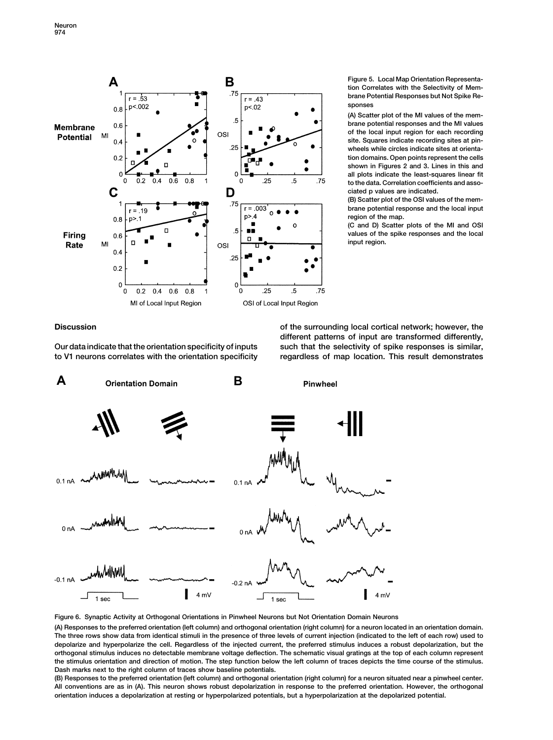

**Figure 5. Local Map Orientation Representation Correlates with the Selectivity of Membrane Potential Responses but Not Spike Responses**

**(A) Scatter plot of the MI values of the membrane potential responses and the MI values of the local input region for each recording site. Squares indicate recording sites at pinwheels while circles indicate sites at orientation domains. Open points represent the cells shown in Figures 2 and 3. Lines in this and all plots indicate the least-squares linear fit to the data. Correlation coefficients and associated p values are indicated.**

**(B) Scatter plot of the OSI values of the membrane potential response and the local input region of the map.**

**(C and D) Scatter plots of the MI and OSI values of the spike responses and the local input region.**

**Our data indicate that the orientation specificity of inputs such that the selectivity of spike responses is similar, to V1 neurons correlates with the orientation specificity regardless of map location. This result demonstrates**

**Discussion of the surrounding local cortical network; however, the different patterns of input are transformed differently,**



**Figure 6. Synaptic Activity at Orthogonal Orientations in Pinwheel Neurons but Not Orientation Domain Neurons**

**(A) Responses to the preferred orientation (left column) and orthogonal orientation (right column) for a neuron located in an orientation domain. The three rows show data from identical stimuli in the presence of three levels of current injection (indicated to the left of each row) used to depolarize and hyperpolarize the cell. Regardless of the injected current, the preferred stimulus induces a robust depolarization, but the orthogonal stimulus induces no detectable membrane voltage deflection. The schematic visual gratings at the top of each column represent the stimulus orientation and direction of motion. The step function below the left column of traces depicts the time course of the stimulus. Dash marks next to the right column of traces show baseline potentials.**

**(B) Responses to the preferred orientation (left column) and orthogonal orientation (right column) for a neuron situated near a pinwheel center. All conventions are as in (A). This neuron shows robust depolarization in response to the preferred orientation. However, the orthogonal orientation induces a depolarization at resting or hyperpolarized potentials, but a hyperpolarization at the depolarized potential.**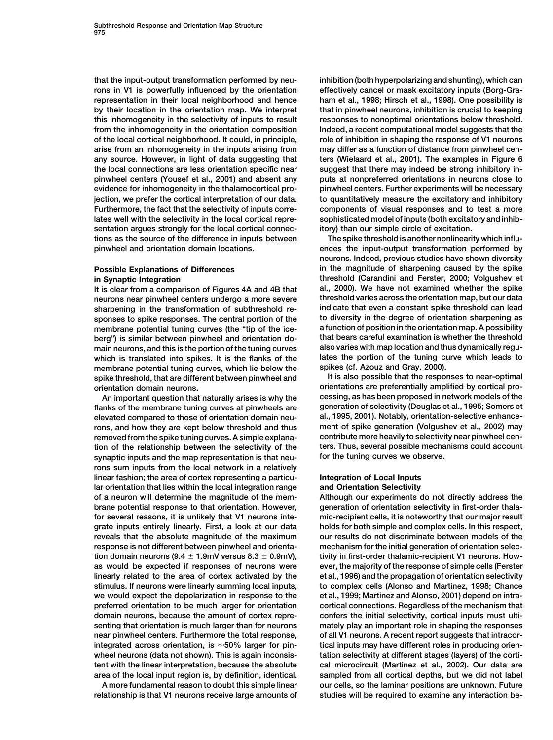**rons in V1 is powerfully influenced by the orientation effectively cancel or mask excitatory inputs (Borg-Grarepresentation in their local neighborhood and hence ham et al., 1998; Hirsch et al., 1998). One possibility is by their location in the orientation map. We interpret that in pinwheel neurons, inhibition is crucial to keeping this inhomogeneity in the selectivity of inputs to result responses to nonoptimal orientations below threshold. from the inhomogeneity in the orientation composition Indeed, a recent computational model suggests that the of the local cortical neighborhood. It could, in principle, role of inhibition in shaping the response of V1 neurons arise from an inhomogeneity in the inputs arising from may differ as a function of distance from pinwheel cenany source. However, in light of data suggesting that ters (Wielaard et al., 2001). The examples in Figure 6 the local connections are less orientation specific near suggest that there may indeed be strong inhibitory inpinwheel centers (Yousef et al., 2001) and absent any puts at nonpreferred orientations in neurons close to evidence for inhomogeneity in the thalamocortical pro- pinwheel centers. Further experiments will be necessary jection, we prefer the cortical interpretation of our data. to quantitatively measure the excitatory and inhibitory Furthermore, the fact that the selectivity of inputs corre- components of visual responses and to test a more lates well with the selectivity in the local cortical repre- sophisticated model of inputs (both excitatory and inhibsentation argues strongly for the local cortical connec- itory) than our simple circle of excitation. tions as the source of the difference in inputs between The spike threshold is another nonlinearity which influpinwheel and orientation domain locations. ences the input-output transformation performed by**

**neurons near pinwheel centers undergo a more severe threshold varies across the orientation map, but our data sharpening in the transformation of subthreshold re- indicate that even a constant spike threshold can lead sponses to spike responses. The central portion of the to diversity in the degree of orientation sharpening as** membrane potential tuning curves (the "tip of the ice-<br>herg") is similar between pinwheel and orientation do-<br>that bears careful examination is whether the threshold **berg") is similar between pinwheel and orientation do- that bears careful examination is whether the threshold main neurons, and this is the portion of the tuning curves also varies with map location and thus dynamically regu**which is translated into spikes. It is the flanks of the **lates the portion of the tuning curve** which lie below the spikes (cf. Azouz and Gray, 2000). membrane potential tuning curves, which lie below the **spike threshold, that are different between pinwheel and It is also possible that the responses to near-optimal**

flanks of the membrane tuning curves at pinwheels are **elevated compared to those of orientation domain neu- al., 1995, 2001). Notably, orientation-selective enhancerons, and how they are kept below threshold and thus ment of spike generation (Volgushev et al., 2002) may removed from the spike tuning curves. A simple explana- contribute more heavily to selectivity near pinwheel cen**tion of the relationship between the selectivity of the the ters. Thus, several possible mechanism context and the map representation is that neu-<br>synaptic inputs and the map representation is that neu-<br>for the tuning curv synaptic inputs and the map representation is that neu**rons sum inputs from the local network in a relatively linear fashion; the area of cortex representing a particu- Integration of Local Inputs lar orientation that lies within the local integration range and Orientation Selectivity of a neuron will determine the magnitude of the mem- Although our experiments do not directly address the brane potential response to that orientation. However, generation of orientation selectivity in first-order thalafor several reasons, it is unlikely that V1 neurons inte- mic-recipient cells, it is noteworthy that our major result grate inputs entirely linearly. First, a look at our data holds for both simple and complex cells. In this respect, reveals that the absolute magnitude of the maximum our results do not discriminate between models of the response is not different between pinwheel and orienta- mechanism for the initial generation of orientation selection domain neurons (9.4 1.9mV versus 8.3 0.9mV), tivity in first-order thalamic-recipient V1 neurons. Howas would be expected if responses of neurons were ever, the majority of the response of simple cells (Ferster linearly related to the area of cortex activated by the et al., 1996) and the propagation of orientation selectivity stimulus. If neurons were linearly summing local inputs, to complex cells (Alonso and Martinez, 1998; Chance** we would expect the depolarization in response to the et al., 1999; Martinez and Alonso, 2001) depend on intra**preferred orientation to be much larger for orientation cortical connections. Regardless of the mechanism that domain neurons, because the amount of cortex repre- confers the initial selectivity, cortical inputs must ultisenting that orientation is much larger than for neurons mately play an important role in shaping the responses near pinwheel centers. Furthermore the total response, of all V1 neurons. A recent report suggests that intracorintegrated across orientation, is 50% larger for pin- tical inputs may have different roles in producing orien**wheel neurons (data not shown). This is again inconsis-<br>
tation selectivity at different stages (layers) of the corti**tent with the linear interpretation, because the absolute cal microcircuit (Martinez et al., 2002). Our data are**

**relationship is that V1 neurons receive large amounts of studies will be required to examine any interaction be-**

**that the input-output transformation performed by neu- inhibition (both hyperpolarizing and shunting), which can**

**neurons. Indeed, previous studies have shown diversity Possible Explanations of Differences in the magnitude of sharpening caused by the spike threshold (Carandini and Ferster, 2000; Volgushev et**<br>It is clear from a comparison of Figures 4A and 4B that al., 2000). We have not examined whether the spike **It is clear from a comparison of Figures 4A and 4B that al., 2000). We have not examined whether the spike**

**orientation domain neurons. orientations are preferentially amplified by cortical pro-An important question that naturally arises is why the cessing, as has been proposed in network models of the**

**area of the local input region is, by definition, identical. sampled from all cortical depths, but we did not label A more fundamental reason to doubt this simple linear our cells, so the laminar positions are unknown. Future**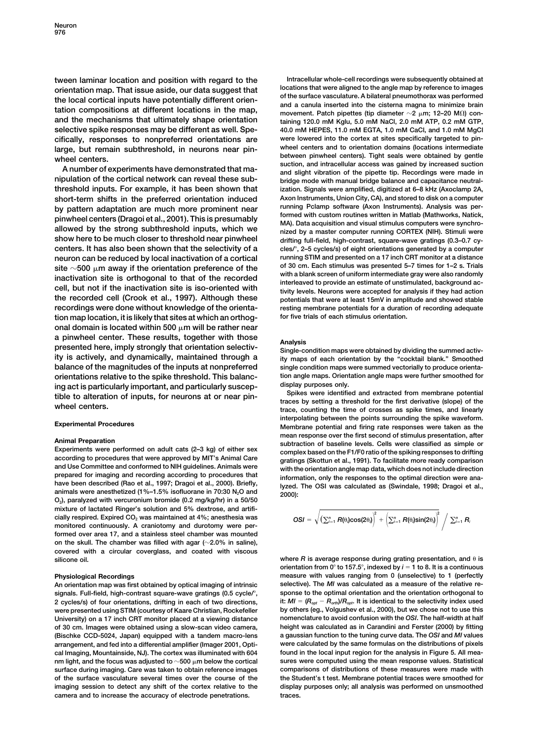orientation map. That issue aside, our data suggest that<br>the local cortical inputs have potentially different orien-<br>tation compositions at different locations in the map,<br>and the mechanisms that ultimately shape orientat **selective spike responses may be different as well. Spe- 40.0 mM HEPES, 11.0 mM EGTA, 1.0 mM CaCl, and 1.0 mM MgCl cifically, responses to nonpreferred orientations are were lowered into the cortex at sites specifically targeted to pin-**

**nipulation of the cortical network can reveal these sub- bridge mode with manual bridge balance and capacitance neutralthreshold inputs. For example, it has been shown that ization. Signals were amplified, digitized at 6–8 kHz (Axoclamp 2A, short-term shifts in the preferred orientation induced Axon Instruments, Union City, CA), and stored to disk on a computer** by pattern adaptation are much more prominent near<br>pinwheel centers (Dragoi et al., 2001). This is presumably<br>allowed by the strong subthreshold inputs, which we<br>allowed by the strong subthreshold inputs, which we<br>hized by **show here to be much closer to threshold near pinwheel drifting full-field, high-contrast, square-wave gratings (0.3–0.7 cycenters. It has also been shown that the selectivity of a cles/, 2–5 cycles/s) of eight orientations generated by a computer neuron can be reduced by local inactivation of a cortical** running STIM and presented on a 17 inch CRT monitor at a distance<br>site 
o 500 um away if the orientation preference of the of 30 cm. Each stimulus was presented 5 **of 30 cm. Each stimulus was presented 5–7 times for 1–2 s. Trials** is the state of the state of 30 cm. Each stimulus was presented 5–7 times for 1–2 s. Trials is entitled as and omly write a state of the state of the spe inactivation site is orthogonal to that of the recorded<br>cell, but not if the inactivation site is iso-oriented with interlaved to provide an estimate of unstimulated,<br>ivity levels. Neurons were accepted for analysis if the **the recorded cell (Crook et al., 1997). Although these potentials that were at least 15mV in amplitude and showed stable for five trials of each stimulus orientation. tion map location, it is likely that sites at which an orthog**onal domain is located within 500  $\mu$ m will be rather near **a pinwheel center. These results, together with those Analysis presented here, imply strongly that orientation selectiv- Single-condition maps were obtained by dividing the summed activbalance of the magnitudes of the inputs at nonpreferred single condition maps were summed vectorially to produce orientaorientations relative to the spike threshold. This balanc- tion angle maps. Orientation angle maps were further smoothed for** ing act is particularly important, and particularly suscep-<br>tible to alteration of inputs, for neurons at or near pin-<br>wheel centers.<br>wheel centers.

**mixture of lactated Ringer's solution and 5% dextrose, and artifi**cially respired. Expired CO<sub>2</sub> was maintained at 4%; anesthesia was **monitored continuously. A craniotomy and durotomy were performed over area 17, and a stainless steel chamber was mounted on the skull. The chamber was filled with agar (2.0% in saline), covered with a circular coverglass, and coated with viscous silicone oil.** *is average response during grating presentation, and*  $\theta$  *is* **<b>***is is is is is is is is is is is is is is is is is is is is*

signals. Full-field, high-contrast square-wave gratings (0.5 cycle/<sup>o</sup>, **it:** *MI* **(***Ropt Rorth***)/***Ropt* **2 cycles/s) of four orientations, drifting in each of two directions, . It is identical to the selectivity index used were presented using STIM (courtesy of Kaare Christian, Rockefeller by others (eg., Volgushev et al., 2000), but we chose not to use this University) on a 17 inch CRT monitor placed at a viewing distance nomenclature to avoid confusion with the** *OSI***. The half-width at half** of 30 cm. Images were obtained using a slow-scan video camera, **(Bischke CCD-5024, Japan) equipped with a tandem macro-lens a gaussian function to the tuning curve data. The** *OSI* **and** *MI* **values arrangement, and fed into a differential amplifier (Imager 2001, Opti- were calculated by the same formulas on the distributions of pixels cal Imaging, Mountainside, NJ). The cortex was illuminated with 604 found in the local input region for the analysis in Figure 5. All mea** $n$ m light, and the focus was adjusted to  $\sim$  500  $\mu$ m below the cortical **surface during imaging. Care was taken to obtain reference images comparisons of distributions of these measures were made with of the surface vasculature several times over the course of the the Student's t test. Membrane potential traces were smoothed for imaging session to detect any shift of the cortex relative to the display purposes only; all analysis was performed on unsmoothed camera and to increase the accuracy of electrode penetrations. traces.**

**Intracellular whole-cell recordings were subsequently obtained at**<br>**A crientation man. That issue aside our data suggest that** locations that were aligned to the angle map by reference to images movement. Patch pipettes (tip diameter ~2 μm; 12-20 MΩ) con**and the mechanisms that ultimately shape orientation taining 120.0 mM Kglu, 5.0 mM NaCl, 2.0 mM ATP, 0.2 mM GTP,** large, but remain subthreshold, in neurons near pin-<br>wheel centers and to orientation domains (locations intermediate<br>ween pinwheel centers). Tight seals were obtained by gentle<br>suction, and intracellular access was gained resting membrane potentials for a duration of recording adequate

ity maps of each orientation by the "cocktail blank." Smoothed

**interpolating between the points surrounding the spike waveform. Experimental Procedures Membrane potential and firing rate responses were taken as the** Animal Preparation experiments were performed on adult cats (2–3 kg) of either sex<br>according to procedures that were approved by MIT's Animal Care<br>and Use Committee and conformed to NIH guidelines. Animal Care<br>and Use Com

$$
OSI = \sqrt{\left(\sum_{i=1}^{n} R(\theta_i) \cos(2\theta_i)\right)^2 + \left(\sum_{i=1}^{n} R(\theta_i) \sin(2\theta_i)\right)^2} / \sum_{i=1}^{n} R_i
$$

**orientation from 0° to 157.5°, indexed by**  $i = 1$  to 8. It is a continuous **Physiological Recordings measure with values ranging from 0 (unselective) to 1 (perfectly An orientation map was first obtained by optical imaging of intrinsic selective). The** *MI* **was calculated as a measure of the relative re**sures were computed using the mean response values. Statistical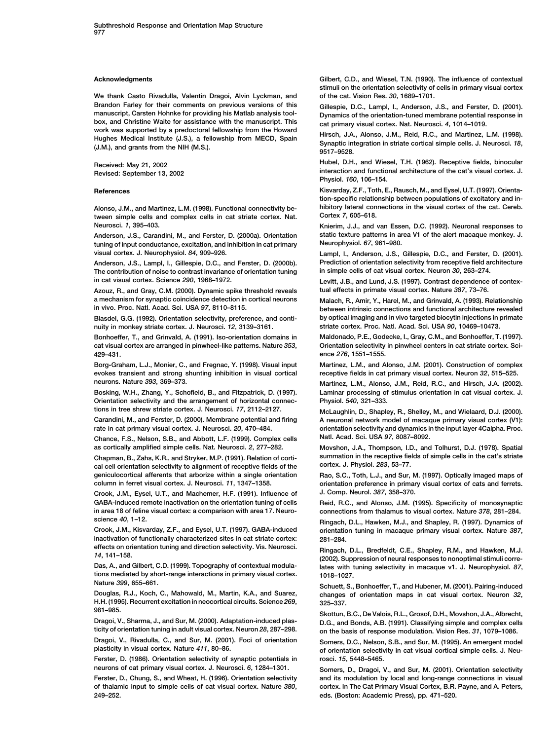**We thank Casto Rivadulla, Valentin Dragoi, Alvin Lyckman, and of the cat. Vision Res.** *30***, 1689–1701. Brandon Farley for their comments on previous versions of this Gillespie, D.C., Lampl, I., Anderson, J.S., and Ferster, D. (2001). manuscript, Carsten Hohnke for providing his Matlab analysis tool- Dynamics of the orientation-tuned membrane potential response in box, and Christine Waite for assistance with the manuscript. This cat primary visual cortex. Nat. Neurosci.** *4***, 1014–1019.**

**Cortex** *7***, 605–618. tween simple cells and complex cells in cat striate cortex. Nat.**

**Neurophysiol.** *67***, 961–980. tuning of input conductance, excitation, and inhibition in cat primary visual cortex. J. Neurophysiol.** *84***, 909–926. Lampl, I., Anderson, J.S., Gillespie, D.C., and Ferster, D. (2001).**

**The contribution of noise to contrast invariance of orientation tuning in simple cells of cat visual cortex. Neuron** *30***, 263–274. in cat visual cortex. Science** *290***, 1968–1972. Levitt, J.B., and Lund, J.S. (1997). Contrast dependence of contex-**

**a mechanism for synaptic coincidence detection in cortical neurons Malach, R., Amir, Y., Harel, M., and Grinvald, A. (1993). Relationship**

**nuity in monkey striate cortex. J. Neurosci.** *12***, 3139–3161. striate cortex. Proc. Natl. Acad. Sci. USA** *90***, 10469–10473.**

**cat visual cortex are arranged in pinwheel-like patterns. Nature** *353***, Orientation selectivity in pinwheel centers in cat striate cortex. Sci-429–431. ence** *276***, 1551–1555.**

**evokes transient and strong shunting inhibition in visual cortical receptive fields in cat primary visual cortex. Neuron** *32***, 515–525. neurons. Nature** *393***, 369–373. Martinez, L.M., Alonso, J.M., Reid, R.C., and Hirsch, J.A. (2002).**

**Orientation selectivity and the arrangement of horizontal connec- Physiol.** *540***, 321–333.**

**Chance, F.S., Nelson, S.B., and Abbott, L.F. (1999). Complex cells Natl. Acad. Sci. USA** *97***, 8087–8092.**

**cal cell orientation selectivity to alignment of receptive fields of the cortex. J. Physiol.** *283***, 53–77. geniculocortical afferents that arborize within a single orientation Rao, S.C., Toth, L.J., and Sur, M. (1997). Optically imaged maps of**

**Crook, J.M., Eysel, U.T., and Machemer, H.F. (1991). Influence of J. Comp. Neurol.** *387***, 358–370. GABA-induced remote inactivation on the orientation tuning of cells Reid, R.C., and Alonso, J.M. (1995). Specificity of monosynaptic**

**inactivation of functionally characterized sites in cat striate cortex: 281–284.**

**tions mediated by short-range interactions in primary visual cortex. 1018–1027.**

**H.H. (1995). Recurrent excitation in neocortical circuits. Science** *269***, 325–337.**

**Dragoi, V., Rivadulla, C., and Sur, M. (2001). Foci of orientation Somers, D.C., Nelson, S.B., and Sur, M. (1995). An emergent model**

**Ferster, D. (1986). Orientation selectivity of synaptic potentials in rosci.** *15***, 5448–5465. neurons of cat primary visual cortex. J. Neurosci.** *6***, 1284–1301. Somers, D., Dragoi, V., and Sur, M. (2001). Orientation selectivity**

**of thalamic input to simple cells of cat visual cortex. Nature** *380***, cortex. In The Cat Primary Visual Cortex, B.R. Payne, and A. Peters, 249–252. eds. (Boston: Academic Press), pp. 471–520.**

**Acknowledgments Gilbert, C.D., and Wiesel, T.N. (1990). The influence of contextual stimuli on the orientation selectivity of cells in primary visual cortex**

Hirsch, J.A., Alonso, J.M., Reid, R.C., and Martinez, L.M. (1998).<br>Hughes Medical Institute (J.S.), a fellowship from MECD, Spain<br>(J.M.), and grants from the NIH (M.S.).<br>9517–9528

Received: May 21, 2002<br>
Revised: September 13, 2002<br>
Revised: September 13, 2002<br>
Physiol. 160, 106–154.<br>
Physiol. 160, 106–154.

**References Kisvarday, Z.F., Toth, E., Rausch, M., and Eysel, U.T. (1997). Orientation-specific relationship between populations of excitatory and in-Alonso, J.M., and Martinez, L.M. (1998). Functional connectivity be- hibitory lateral connections in the visual cortex of the cat. Cereb.**

**Neurosci.** *1***, 395–403. Knierim, J.J., and van Essen, D.C. (1992). Neuronal responses to Anderson, J.S., Carandini, M., and Ferster, D. (2000a). Orientation static texture patterns in area V1 of the alert macaque monkey. J.**

**Anderson, J.S., Lampl, I., Gillespie, D.C., and Ferster, D. (2000b). Prediction of orientation selectivity from receptive field architecture**

**Azouz, R., and Gray, C.M. (2000). Dynamic spike threshold reveals tual effects in primate visual cortex. Nature** *387***, 73–76.**

**in vivo. Proc. Natl. Acad. Sci. USA** *97***, 8110–8115. between intrinsic connections and functional architecture revealed Blasdel, G.G. (1992). Orientation selectivity, preference, and conti- by optical imaging and in vivo targeted biocytin injections in primate**

**Bonhoeffer, T., and Grinvald, A. (1991). Iso-orientation domains in Maldonado, P.E., Godecke, I., Gray, C.M., and Bonhoeffer, T. (1997).**

**Borg-Graham, L.J., Monier, C., and Fregnac, Y. (1998). Visual input Martinez, L.M., and Alonso, J.M. (2001). Construction of complex**

**Bosking, W.H., Zhang, Y., Schofield, B., and Fitzpatrick, D. (1997). Laminar processing of stimulus orientation in cat visual cortex. J.**

**tions in tree shrew striate cortex. J. Neurosci.** *17***, 2112–2127. McLaughlin, D., Shapley, R., Shelley, M., and Wielaard, D.J. (2000). Carandini, M., and Ferster, D. (2000). Membrane potential and firing A neuronal network model of macaque primary visual cortex (V1): rate in cat primary visual cortex. J. Neurosci.** *20***, 470–484. orientation selectivity and dynamics in the input layer 4Calpha. Proc.**

**as cortically amplified simple cells. Nat. Neurosci.** *2***, 277–282. Movshon, J.A., Thompson, I.D., and Tolhurst, D.J. (1978). Spatial Chapman, B., Zahs, K.R., and Stryker, M.P. (1991). Relation of corti- summation in the receptive fields of simple cells in the cat's striate**

**column in ferret visual cortex. J. Neurosci.** *11***, 1347–1358. orientation preference in primary visual cortex of cats and ferrets.**

**in area 18 of feline visual cortex: a comparison with area 17. Neuro- connections from thalamus to visual cortex. Nature** *378***, 281–284.**

**science** *<sup>40</sup>***, 1–12. Ringach, D.L., Hawken, M.J., and Shapley, R. (1997). Dynamics of**  $C$ crientation tuning in macaque primary visual cortex. Nature 387,

effects on orientation tuning and direction selectivity. Vis. Neurosci.<br>14, 141–158. (2002). Suppression of neural responses to nonoptimal stimuli corre-<br>Das, A., and Gilbert, C.D. (1999). Topography of contextual modula-l lates with tuning selectivity in macaque v1. J. Neurophysiol. 87,

**Nature** *<sup>399</sup>***, 655–661. Schuett, S., Bonhoeffer, T., and Hubener, M. (2001). Pairing-induced Douglas, R.J., Koch, C., Mahowald, M., Martin, K.A., and Suarez, changes of orientation maps in cat visual cortex. Neuron** *32***,**

**981–985. Skottun, B.C., De Valois, R.L., Grosof, D.H., Movshon, J.A., Albrecht, Dragoi, V., Sharma, J., and Sur, M. (2000). Adaptation-induced plas- D.G., and Bonds, A.B. (1991). Classifying simple and complex cells ticity of orientation tuning in adult visual cortex. Neuron** *28***, 287–298. on the basis of response modulation. Vision Res.** *31***, 1079–1086.**

of orientation selectivity in cat visual cortical simple cells. J. Neu-

**Ferster, D., Chung, S., and Wheat, H. (1996). Orientation selectivity and its modulation by local and long-range connections in visual**